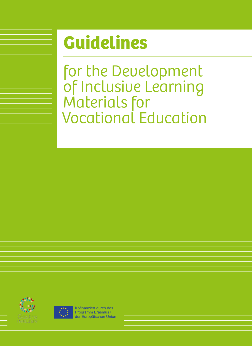# **Guidelines**

for the Development of Inclusive Learning Materials for Vocational Education





Kofinanziert durch das Programm Erasmus+ der Europäischen Union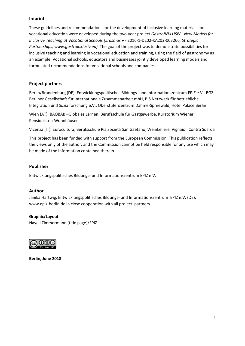## **Imprint**

These guidelines and recommendations for the development of inclusive learning materials for vocational education were developed during the two-year project *GastroINKLUSIV - New Models for Inclusive Teaching at Vocational Schools (Erasmus +* - 2016-1-DE02-KA202-003266*, Strategic Partnerships, www.gastroinklusiv.eu).* The goal of the project was to demonstrate possibilities for inclusive teaching and learning in vocational education and training, using the field of gastronomy as an example. Vocational schools, educators and businesses jointly developed learning models and formulated recommendations for vocational schools and companies.

# **Project partners**

Berlin/Brandenburg (DE): Entwicklungspolitisches Bildungs- und Informationszentrum EPIZ e.V., BGZ Berliner Gesellschaft für Internationale Zusammenarbeit mbH, BIS Netzwerk für betriebliche Integration und Sozialforschung e.V., Oberstufenzentrum Dahme-Spreewald, Hotel Palace Berlin

Wien (AT): BAOBAB –Globales Lernen, Berufsschule für Gastgewerbe, Kuratorium Wiener Pensionisten-Wohnhäuser

Vicenza (IT): Eurocultura, Berufsschule Pia Societá San Gaetano, Weinkellerei Vignaioli Contrá Soarda

This project has been funded with support from the European Commission. This publication reflects the views only of the author, and the Commission cannot be held responsible for any use which may be made of the information contained therein.

## **Publisher**

Entwicklungspolitisches Bildungs- und Informationszentrum EPIZ e.V.

## **Author**

Janika Hartwig, Entwicklungspolitisches Bildungs- und Informationszentrum EPIZ e.V. (DE), www.epiz-berlin.de in close cooperation with all project partners

## **Graphic/Layout**

Nayeli Zimmermann (title page)/EPIZ



**Berlin, June 2018**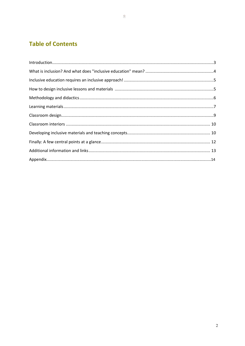# **Table of Contents**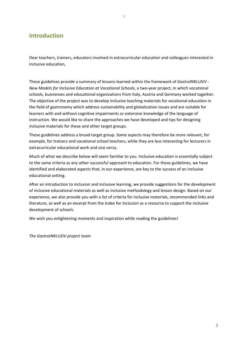# **Introduction**

Dear teachers, trainers, educators involved in extracurricular education and colleagues interested in inclusive education,

These guidelines provide a summary of lessons learned within the framework of *GastroINKLUSIV - New Models for Inclusive Education at Vocational Schools*, a two-year project, in which vocational schools, businesses and educational organizations from Italy, Austria and Germany worked together. The objective of the project was to develop inclusive teaching materials for vocational education in the field of gastronomy which address sustainability and globalization issues and are suitable for learners with and without cognitive impairments or extensive knowledge of the language of instruction. We would like to share the approaches we have developed and tips for designing inclusive materials for these and other target groups.

These guidelines address a broad target group. Some aspects may therefore be more relevant, for example, for trainers and vocational school teachers, while they are less interesting for lecturers in extracurricular educational work and vice versa.

Much of what we describe below will seem familiar to you. Inclusive education is essentially subject to the same criteria as any other successful approach to education. For these guidelines, we have identified and elaborated aspects that, in our experience, are key to the success of an inclusive educational setting.

After an introduction to inclusion and inclusive learning, we provide suggestions for the development of inclusive educational materials as well as inclusive methodology and lesson design. Based on our experience, we also provide you with a list of criteria for inclusive materials, recommended links and literature, as well as an excerpt from the Index for Inclusion as a resource to support the inclusive development of schools.

We wish you enlightening moments and inspiration while reading the guidelines!

*The GastroINKLUSIV project team*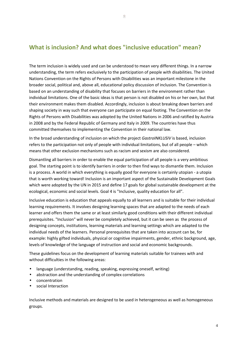# **What is inclusion? And what does "inclusive education" mean?**

The term inclusion is widely used and can be understood to mean very different things. In a narrow understanding, the term refers exclusively to the participation of people with disabilities. The United Nations Convention on the Rights of Persons with Disabilities was an important milestone in the broader social, political and, above all, educational policy discussion of inclusion. The Convention is based on an understanding of disability that focuses on barriers in the environment rather than individual limitations. One of the basic ideas is that person is not disabled on his or her own, but that their environment makes them disabled. Accordingly, inclusion is about breaking down barriers and shaping society in way such that everyone can participate on equal footing. The Convention on the Rights of Persons with Disabilities was adopted by the United Nations in 2006 and ratified by Austria in 2008 and by the Federal Republic of Germany and Italy in 2009. The countries have thus committed themselves to implementing the Convention in their national law.

In the broad understanding of inclusion on which the project *GastroINKLUSIV* is based, inclusion refers to the participation not only of people with individual limitations, but of all people – which means that other exclusion mechanisms such as racism and sexism are also considered.

Dismantling all barriers in order to enable the equal participation of all people is a very ambitious goal. The starting point is to identify barriers in order to then find ways to dismantle them. Inclusion is a process. A world in which everything is equally good for everyone is certainly utopian - a utopia that is worth working toward! Inclusion is an important aspect of the Sustainable Development Goals which were adopted by the UN in 2015 and define 17 goals for global sustainable development at the ecological, economic and social levels. Goal 4 is "Inclusive, quality education for all".

Inclusive education is education that appeals equally to all learners and is suitable for their individual learning requirements. It involves designing learning spaces that are adapted to the needs of each learner and offers them the same or at least similarly good conditions with their different individual prerequisites. "Inclusion" will never be completely achieved, but it can be seen as the process of designing concepts, institutions, learning materials and learning settings which are adapted to the individual needs of the learners. Personal prerequisites that are taken into account can be, for example: highly gifted individuals, physical or cognitive impairments, gender, ethnic background, age, levels of knowledge of the language of instruction and social and economic backgrounds.

These guidelines focus on the development of learning materials suitable for trainees with and without difficulties in the following areas:

- language (understanding, reading, speaking, expressing oneself, writing)
- abstraction and the understanding of complex correlations
- concentration
- social Interaction

Inclusive methods and materials are designed to be used in heterogeneous as well as homogeneous groups.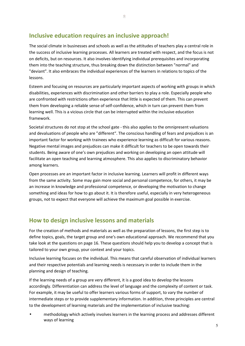# **Inclusive education requires an inclusive approach!**

The social climate in businesses and schools as well as the attitudes of teachers play a central role in the success of inclusive learning processes. All learners are treated with respect, and the focus is not on deficits, but on resources. It also involves identifying individual prerequisites and incorporating them into the teaching structure, thus breaking down the distinction between "normal" and "deviant". It also embraces the individual experiences of the learners in relations to topics of the lessons.

Esteem and focusing on resources are particularly important aspects of working with groups in which disabilities, experiences with discrimination and other barriers to play a role. Especially people who are confronted with restrictions often experience that little is expected of them. This can prevent them from developing a reliable sense of self-confidence, which in turn can prevent them from learning well. This is a vicious circle that can be interrupted within the inclusive education framework.

Societal structures do not stop at the school gate - this also applies to the omnipresent valuations and devaluations of people who are "different". The conscious handling of fears and prejudices is an important factor for working with trainees who experience learning as difficult for various reasons. Negative mental images and prejudices can make it difficult for teachers to be open towards their students. Being aware of one's own prejudices and working on developing an open attitude will facilitate an open teaching and learning atmosphere. This also applies to discriminatory behavior among learners.

Open processes are an important factor in inclusive learning. Learners will profit in different ways from the same activity. Some may gain more social and personal competence, for others, it may be an increase in knowledge and professional competence, or developing the motivation to change something and ideas for how to go about it. It is therefore useful, especially in very heterogeneous groups, not to expect that everyone will achieve the maximum goal possible in exercise.

# **How to design inclusive lessons and materials**

For the creation of methods and materials as well as the preparation of lessons, the first step is to define topics, goals, the target group and one's own educational approach. We recommend that you take look at the questions on page 16. These questions should help you to develop a concept that is tailored to your own group, your context and your topics.

Inclusive learning focuses on the individual. This means that careful observation of individual learners and their respective potentials and learning needs is necessary in order to include them in the planning and design of teaching.

If the learning needs of a group are very different, it is a good idea to develop the lessons accordingly. Differentiation can address the level of language and the complexity of content or task. For example, it may be useful to offer learners various forms of support, to vary the number of intermediate steps or to provide supplementary information. In addition, three principles are central to the development of learning materials and the implementation of inclusive teaching:

• methodology which actively involves learners in the learning process and addresses different ways of learning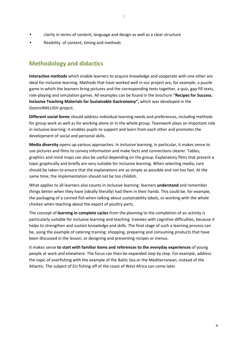- clarity in terms of content, language and design as well as a clear structure
- flexibility of content, timing and methods

# **Methodology and didactics**

**Interactive methods** which enable learners to acquire knowledge and cooperate with one other are ideal for inclusive learning. Methods that have worked well in our project are, for example, a puzzle game in which the learners bring pictures and the corresponding texts together, a quiz, gap-fill texts, role-playing and simulation games. All examples can be found in the brochure **"Recipes for Success. Inclusive Teaching Materials for Sustainable Gastronomy",** which was developed in the *GastroINKLUSIV* project.

**Different social forms** should address individual learning needs and preferences, including methods for group work as well as for working alone or in the whole group. Teamwork plays an important role in inclusive learning: it enables pupils to support and learn from each other and promotes the development of social and personal skills.

**Media diversity** opens up various approaches. In inclusive learning, in particular, it makes sense to use pictures and films to convey information and make facts and connections clearer. Tables, graphics and mind maps can also be useful depending on the group. Explanatory films that present a topic graphically and briefly are very suitable for inclusive learning. When selecting media, care should be taken to ensure that the explanations are as simple as possible and not too fast. At the same time, the implementation should not be too childish.

What applies to all learners also counts in inclusive learning: learners **understand** and remember things better when they have (ideally literally) had them in their hands. This could be, for example, the packaging of a canned fish when talking about sustainability labels, or working with the whole chicken when teaching about the export of poultry parts.

The concept of **learning in complete cycles** from the planning to the completion of an activity is particularly suitable for inclusive learning and teaching trainees with cognitive difficulties, because it helps to strengthen and sustain knowledge and skills. The final stage of such a learning process can be, using the example of catering training: shopping, preparing and consuming products that have been discussed in the lesson, or designing and presenting recipes or menus.

It makes sense **to start with familiar items and references to the everyday experiences** of young people at work and elsewhere. The focus can then be expanded step by step. For example, address the topic of overfishing with the example of the Baltic Sea or the Mediterranean, instead of the Atlantic. The subject of EU fishing off of the coast of West Africa can come later.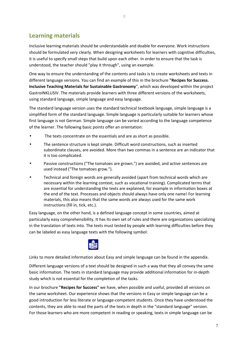Inclusive learning materials should be understandable and doable for everyone. Work instructions should be formulated very clearly. When designing worksheets for learners with cognitive difficulties, it is useful to specify small steps that build upon each other. In order to ensure that the task is understood, the teacher should "play it through", using an example.

One way to ensure the understanding of the contents and tasks is to create worksheets and texts in different language versions. You can find an example of this in the brochure **"Recipes for Success. Inclusive Teaching Materials for Sustainable Gastronomy**", which was developed within the project GastroINKLUSIV. The materials provide learners with three different versions of the worksheets, using standard language, simple language and easy language.

The standard language version uses the standard technical textbook language, simple language is a simplified form of the standard language. Simple language is particularly suitable for learners whose first language is not German. Simple language can be varied according to the language competence of the learner. The following basic points offer an orientation:

- The texts concentrate on the essentials and are as short as possible.
- The sentence structure is kept simple. Difficult word constructions, such as inserted subordinate clauses, are avoided. More than two commas in a sentence are an indicator that it is too complicated.
- Passive constructions ("The tomatoes are grown.") are avoided, and active sentences are used instead ("The tomatoes grow.").
- Technical and foreign words are generally avoided (apart from technical words which are necessary within the learning context, such as vocational training). Complicated terms that are essential for understanding the texts are explained, for example in information boxes at the end of the text. Processes and objects should always have only one name! For learning materials, this also means that the same words are always used for the same work instructions (fill in, tick, etc.).

Easy language, on the other hand, is a defined language concept in some countries, aimed at particularly easy comprehensibility. It has its own set of rules and there are organizations specializing in the translation of texts into. The texts must tested by people with learning difficulties before they can be labeled as easy language texts with the following symbol:



Links to more detailed information about Easy and simple language can be found in the appendix.

Different language versions of a text should be designed in such a way that they all convey the same basic information. The texts in standard language may provide additional information for in-depth study which is not essential for the completion of the tasks.

In our brochure **"Recipes for Success"** we have, when possible and useful, provided all versions on the same worksheet. Our experience shows that the versions in Easy or simple language can be a good introduction for less literate or language-competent students. Once they have understood the contents, they are able to read the parts of the texts in depth in the "standard language" version. For those learners who are more competent in reading or speaking, texts in simple language can be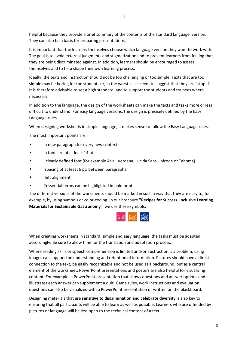helpful because they provide a brief summary of the contents of the standard language version. They can also be a basis for preparing presentations.

It is important that the learners themselves choose which language version they want to work with. The goal is to avoid external judgments and stigmatization and to prevent learners from feeling that they are being discriminated against. In addition, learners should be encouraged to assess themselves and to help shape their own learning process.

Ideally, the texts and instruction should not be too challenging or too simple. Texts that are too simple may be boring for the students or, in the worst case, seem to suggest that they are "stupid". It is therefore advisable to set a high standard, and to support the students and trainees where necessary.

In addition to the language, the design of the worksheets can make the texts and tasks more or less difficult to understand. For easy language versions, the design is precisely defined by the Easy Language rules.

When designing worksheets in simple language, it makes sense to follow the Easy Language rules.

The most important points are:

- a new paragraph for every new context
- a font size of at least 14 pt.
- clearly defined font (for example Arial, Verdana, Lucida Sans Unicode or Tahoma)
- spacing of at least 6 pt. between paragraphs
- left alignment
- **Dessential terms can be highlighted in bold print.**

The different versions of the worksheets should be marked in such a way that they are easy to, for example, by using symbols or color-coding. In our brochure **"Recipes for Success. Inclusive Learning Materials for Sustainable Gastronomy**", we use these symbols:



When creating worksheets in standard, simple and easy language, the tasks must be adapted accordingly. Be sure to allow time for the translation and adaptation process.

Where reading skills or speech comprehension is limited and/or abstraction is a problem, using images can support the understanding and retention of information. Pictures should have a direct connection to the text, be easily recognizable and not be used as a background, but as a central element of the worksheet. PowerPoint presentations and posters are also helpful for visualizing content. For example, a PowerPoint presentation that shows questions and answer options and illustrates each answer can supplement a quiz. Game rules, work instructions and evaluation questions can also be visualized with a PowerPoint presentation or written on the blackboard.

Designing materials that are **sensitive to discrimination and celebrate diversity** is also key to ensuring that all participants will be able to learn as well as possible. Learners who are offended by pictures or language will be less open to the technical content of a text.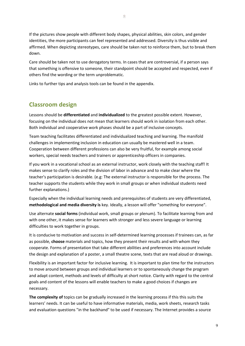If the pictures show people with different body shapes, physical abilities, skin colors, and gender identities, the more participants can feel represented and addressed. Diversity is thus visible and affirmed. When depicting stereotypes, care should be taken not to reinforce them, but to break them down.

Care should be taken not to use derogatory terms. In cases that are controversial, if a person says that something is offensive to someone, their standpoint should be accepted and respected, even if others find the wording or the term unproblematic.

Links to further tips and analysis tools can be found in the appendix.

# **Classroom design**

Lessons should be **differentiated** and **individualized** to the greatest possible extent. However, focusing on the individual does not mean that learners should work in isolation from each other. Both individual and cooperative work phases should be a part of inclusive concepts.

Team teaching facilitates differentiated and individualized teaching and learning. The manifold challenges in implementing inclusion in education can usually be mastered well in a team. Cooperation between different professions can also be very fruitful, for example among social workers, special needs teachers and trainers or apprenticeship officers in companies.

If you work in a vocational school as an external instructor, work closely with the teaching staff! It makes sense to clarify roles and the division of labor in advance and to make clear where the teacher's participation is desirable. (e.g: The external instructor is responsible for the process. The teacher supports the students while they work in small groups or when individual students need further explanations.)

Especially when the individual learning needs and prerequisites of students are very differentiated, **methodological and media diversity is** key. Ideally, a lesson will offer "something for everyone".

Use alternate **social forms** (individual work, small groups or plenum). To facilitate learning from and with one other, it makes sense for learners with stronger and less severe language or learning difficulties to work together in groups.

It is conducive to motivation and success in self-determined learning processes if trainees can, as far as possible, **choose** materials and topics, how they present their results and with whom they cooperate. Forms of presentation that take different abilities and preferences into account include the design and explanation of a poster, a small theatre scene, texts that are read aloud or drawings.

Flexibility is an important factor for inclusive learning. It is important to plan time for the instructors to move around between groups and individual learners or to spontaneously change the program and adapt content, methods and levels of difficulty at short notice. Clarity with regard to the central goals and content of the lessons will enable teachers to make a good choices if changes are necessary.

**The complexity of** topics can be gradually increased in the learning process if this this suits the learners' needs. It can be useful to have informative materials, media, work sheets, research tasks and evaluation questions "in the backhand" to be used if necessary. The Internet provides a source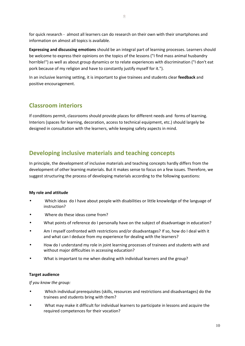for quick research - almost all learners can do research on their own with their smartphones and information on almost all topics is available.

**Expressing and discussing emotions** should be an integral part of learning processes. Learners should be welcome to express their opinions on the topics of the lessons ("I find mass animal husbandry horrible!") as well as about group dynamics or to relate experiences with discrimination ("I don't eat pork because of my religion and have to constantly justify myself for it.").

In an inclusive learning setting, it is important to give trainees and students clear **feedback** and positive encouragement.

# **Classroom interiors**

If conditions permit, classrooms should provide places for different needs and forms of learning. Interiors (spaces for learning, decoration, access to technical equipment, etc.) should largely be designed in consultation with the learners, while keeping safety aspects in mind.

# **Developing inclusive materials and teaching concepts**

In principle, the development of inclusive materials and teaching concepts hardly differs from the development of other learning materials. But it makes sense to focus on a few issues. Therefore, we suggest structuring the process of developing materials according to the following questions:

#### **My role and attitude**

- Which ideas do I have about people with disabilities or little knowledge of the language of instruction?
- Where do these ideas come from?
- What points of reference do I personally have on the subject of disadvantage in education?
- Am I myself confronted with restrictions and/or disadvantages? If so, how do I deal with it and what can I deduce from my experience for dealing with the learners?
- How do I understand my role in joint learning processes of trainees and students with and without major difficulties in accessing education?
- What is important to me when dealing with individual learners and the group?

## **Target audience**

*If you know the group:*

- Which individual prerequisites (skills, resources and restrictions and disadvantages) do the trainees and students bring with them?
- What may make it difficult for individual learners to participate in lessons and acquire the required competences for their vocation?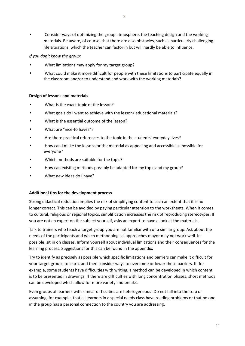• Consider ways of optimizing the group atmosphere, the teaching design and the working materials. Be aware, of course, that there are also obstacles, such as particularly challenging life situations, which the teacher can factor in but will hardly be able to influence.

## *If you don't know the group:*

- What limitations may apply for my target group?
- What could make it more difficult for people with these limitations to participate equally in the classroom and/or to understand and work with the working materials?

#### **Design of lessons and materials**

- What is the exact topic of the lesson?
- What goals do I want to achieve with the lesson/ educational materials?
- What is the essential outcome of the lesson?
- What are "nice-to haves"?
- Are there practical references to the topic in the students' everyday lives?
- How can I make the lessons or the material as appealing and accessible as possible for everyone?
- Which methods are suitable for the topic?
- How can existing methods possibly be adapted for my topic and my group?
- What new ideas do I have?

#### **Additional tips for the development process**

Strong didactical reduction implies the risk of simplifying content to such an extent that it is no longer correct. This can be avoided by paying particular attention to the worksheets. When it comes to cultural, religious or regional topics, simplification increases the risk of reproducing stereotypes. If you are not an expert on the subject yourself, asks an expert to have a look at the materials.

Talk to trainers who teach a target group you are not familiar with or a similar group. Ask about the needs of the participants and which methodological approaches mayor may not work well. In possible, sit in on classes. Inform yourself about individual limitations and their consequences for the learning process. Suggestions for this can be found in the appendix.

Try to identify as precisely as possible which specific limitations and barriers can make it difficult for your target groups to learn, and then consider ways to overcome or lower these barriers. If, for example, some students have difficulties with writing, a method can be developed in which content is to be presented in drawings. If there are difficulties with long concentration phases, short methods can be developed which allow for more variety and breaks.

Even groups of learners with similar difficulties are heterogeneous! Do not fall into the trap of assuming, for example, that all learners in a special needs class have reading problems or that no one in the group has a personal connection to the country you are addressing.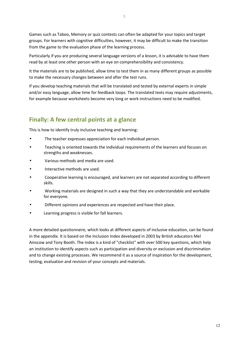Games such as Taboo, Memory or quiz contests can often be adapted for your topics and target groups. For learners with cognitive difficulties, however, it may be difficult to make the transition from the game to the evaluation phase of the learning process.

Particularly if you are producing several language versions of a lesson, it is advisable to have them read by at least one other person with an eye on comprehensibility and consistency.

It the materials are to be published, allow time to test them in as many different groups as possible to make the necessary changes between and after the test runs.

If you develop teaching materials that will be translated and tested by external experts in simple and/or easy language, allow time for feedback loops. The translated texts may require adjustments, for example because worksheets become very long or work instructions need to be modified.

# **Finally: A few central points at a glance**

This is how to identify truly inclusive teaching and learning:

- The teacher expresses appreciation for each individual person.
- Teaching is oriented towards the individual requirements of the learners and focuses on strengths and weaknesses.
- Various methods and media are used.
- Interactive methods are used.
- Cooperative learning is encouraged, and learners are not separated according to different skills.
- Working materials are designed in such a way that they are understandable and workable for everyone.
- Different opinions and experiences are respected and have their place.
- Learning progress is visible for fall learners.

A more detailed questionnaire, which looks at different aspects of inclusive education, can be found in the appendix. It is based on the Inclusion Index developed in 2003 by British educators Mel Ainscow and Tony Booth. The index is a kind of "checklist" with over 500 key questions, which help an institution to identify aspects such as participation and diversity or exclusion and discrimination and to change existing processes. We recommend it as a source of inspiration for the development, testing, evaluation and revision of your concepts and materials.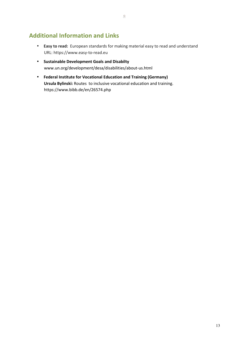# **Additional Information and Links**

- **Easy to read:** European standards for making material easy to read and understand URL: https://www.easy-to-read.eu
- **Sustainable Development Goals and Disabilty**  www.un.org/development/desa/disabilities/about-us.html
- **Federal Institute for Vocational Education and Training (Germany) Ursula Bylinski:** Routes to inclusive vocational education and training. https://www.bibb.de/en/26574.php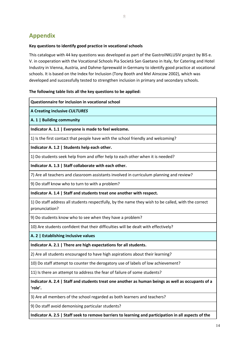# **Appendix**

## **Key questions to identify good practice in vocational schools**

This catalogue with 44 key questions was developed as part of the GastroINKLUSIV project by BIS e. V. in cooperation with the Vocational Schools Pia Società San Gaetano in Italy, for Catering and Hotel Industry in Vienna, Austria, and Dahme-Spreewald in Germany to identify good practice at vocational schools. It is based on the Index for Inclusion (Tony Booth and Mel Ainscow 2002), which was developed and successfully tested to strengthen inclusion in primary and secondary schools.

# **The following table lists all the key questions to be applied:**

| Questionnaire for inclusion in vocational school                                                                      |
|-----------------------------------------------------------------------------------------------------------------------|
| A Creating inclusive CULTURES                                                                                         |
| A. 1   Building community                                                                                             |
| Indicator A. 1.1   Everyone is made to feel welcome.                                                                  |
| 1) Is the first contact that people have with the school friendly and welcoming?                                      |
| Indicator A. 1.2   Students help each other.                                                                          |
| 1) Do students seek help from and offer help to each other when it is needed?                                         |
| Indicator A. 1.3   Staff collaborate with each other.                                                                 |
| 7) Are all teachers and classroom assistants involved in curriculum planning and review?                              |
| 9) Do staff know who to turn to with a problem?                                                                       |
| Indicator A. 1.4   Staff and students treat one another with respect.                                                 |
| 1) Do staff address all students respectfully, by the name they wish to be called, with the correct<br>pronunciation? |
| 9) Do students know who to see when they have a problem?                                                              |
| 10) Are students confident that their difficulties will be dealt with effectively?                                    |
|                                                                                                                       |

**A. 2 | Establishing inclusive values**

**Indicator A. 2.1 | There are high expectations for all students.** 

2) Are all students encouraged to have high aspirations about their learning?

10) Do staff attempt to counter the derogatory use of labels of low achievement?

11) Is there an attempt to address the fear of failure of some students?

**Indicator A. 2.4 | Staff and students treat one another as human beings as well as occupants of a 'role'.** 

3) Are all members of the school regarded as both learners and teachers?

9) Do staff avoid demonising particular students?

**Indicator A. 2.5 | Staff seek to remove barriers to learning and participation in all aspects of the**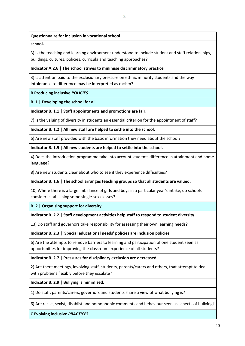## **Questionnaire for inclusion in vocational school**

#### **school.**

3) Is the teaching and learning environment understood to include student and staff relationships, buildings, cultures, policies, curricula and teaching approaches?

## **Indicator A.2.6 | The school strives to minimise discriminatory practice**

3) Is attention paid to the exclusionary pressure on ethnic minority students and the way intolerance to difference may be interpreted as racism?

## **B Producing inclusive** *POLICIES*

## **B. 1 | Developing the school for all**

**Indicator B. 1.1 | Staff appointments and promotions are fair.** 

7) Is the valuing of diversity in students an essential criterion for the appointment of staff?

**Indicator B. 1.2 | All new staff are helped to settle into the school.**

6) Are new staff provided with the basic information they need about the school?

**Indicator B. 1.5 | All new students are helped to settle into the school.** 

4) Does the introduction programme take into account students difference in attainment and home language?

8) Are new students clear about who to see if they experience difficulties?

**Indicator B. 1.6 | The school arranges teaching groups so that all students are valued.** 

10) Where there is a large imbalance of girls and boys in a particular year's intake, do schools consider establishing some single-sex classes?

**B. 2 | Organising support for diversity**

**Indicator B. 2.2 | Staff development activities help staff to respond to student diversity.** 

13) Do staff and governors take responsibility for assessing their own learning needs?

**Indicator B. 2.3 |** '**Special educational needs' policies are inclusion policies.** 

6) Are the attempts to remove barriers to learning and participation of one student seen as opportunities for improving the classroom experience of all students?

**Indicator B. 2.7 | Pressures for disciplinary exclusion are decreased.** 

2) Are there meetings, involving staff, students, parents/carers and others, that attempt to deal with problems flexibly before they escalate?

**Indicator B. 2.9 | Bullying is minimised.** 

1) Do staff, parents/carers, governors and students share a view of what bullying is?

6) Are racist, sexist, disablist and homophobic comments and behaviour seen as aspects of bullying?

**C Evolving inclusive** *PRACTICES*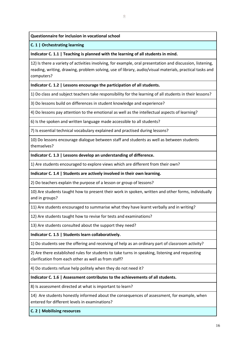#### **Questionnaire for inclusion in vocational school**

#### **C. 1 | Orchestrating learning**

**Indicator C. 1.1 | Teaching is planned with the learning of all students in mind.** 

12) Is there a variety of activities involving, for example, oral presentation and discussion, listening, reading, writing, drawing, problem solving, use of library, audio/visual materials, practical tasks and computers?

#### **Indicator C. 1.2 | Lessons encourage the participation of all students.**

1) Do class and subject teachers take responsibility for the learning of all students in their lessons?

3) Do lessons build on differences in student knowledge and experience?

4) Do lessons pay attention to the emotional as well as the intellectual aspects of learning?

6) Is the spoken and written language made accessible to all students?

7) Is essential technical vocabulary explained and practised during lessons?

10) Do lessons encourage dialogue between staff and students as well as between students themselves?

#### **Indicator C. 1.3 | Lessons develop an understanding of difference.**

1) Are students encouraged to explore views which are different from their own?

#### **Indicator C. 1.4 | Students are actively involved in their own learning.**

2) Do teachers explain the purpose of a lesson or group of lessons?

10) Are students taught how to present their work in spoken, written and other forms, individually and in groups?

11) Are students encouraged to summarise what they have learnt verbally and in writing?

12) Are students taught how to revise for tests and examinations?

13) Are students consulted about the support they need?

**Indicator C. 1.5 | Students learn collaboratively.** 

1) Do students see the offering and receiving of help as an ordinary part of classroom activity?

2) Are there established rules for students to take turns in speaking, listening and requesting clarification from each other as well as from staff?

4) Do students refuse help politely when they do not need it?

#### **Indicator C. 1.6 | Assessment contributes to the achievements of all students.**

8) Is assessment directed at what is important to learn?

14) Are students honestly informed about the consequences of assessment, for example, when entered for different levels in examinations?

**C. 2 | Mobilising resources**